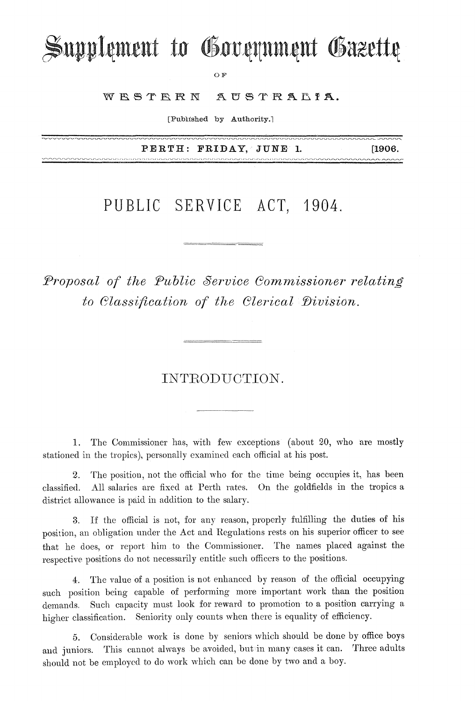# Supplement to Government Gazette

OF

WRSTRRN AUSTRALIA.

[Published by Authority.]

PERTH: FRIDAY, JUNE 1. [1906.

nnnnn

### PUBLIC SERVICE ACT, 1904.

*Proposal of the Public Service Commissioner relating to Classification of the Clerical Division.* 

#### INTRODUCTION.

1. The Commissioner has, with few exceptions (about 20, who are mostly stationed in the tropics), personally examined each official at his post.

2. The position, not the official who for the time being occupies it, has been classified. All salaries are fixed at Perth rates. On the goldfields in the tropics a district allowance is paid in addition to the salary.

3. If the official is not, for any reason, properly fulfilling the duties of his position, an obligation under the Act and Regulations rests on his superior officer to see that he does, or report him to the Commissioner. The names placed against the respective positions do not necessarily entitle such officers to the positions.

4. The value of a position is not enhanced by reason of the official occupying such position being capable of performing more important work than the position demands. Such capacity must look for reward to promotion to a position carrying a higher classification. Seniority only counts when there is equality of efficiency.

5. Considerable work is done by seniors which should be done by office boys and juniors. This cannot always be avoided, but in many cases it can. Three adults should not be employed to do work which can be done by two and a boy.